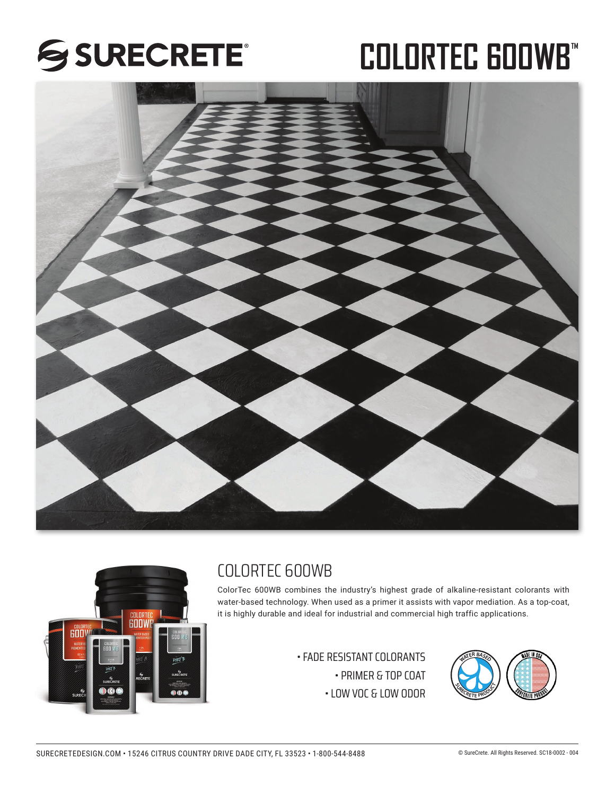## SSURECRETE®

# **COLORTEC 600WB\***





## COLORTEC 600WB

ColorTec 600WB combines the industry's highest grade of alkaline-resistant colorants with water-based technology. When used as a primer it assists with vapor mediation. As a top-coat, it is highly durable and ideal for industrial and commercial high traffic applications.

> $\cdot$  FADE RESISTANT COLORANTS • PRIMER & TOP COAT • LOW VOC & LOW ODOR